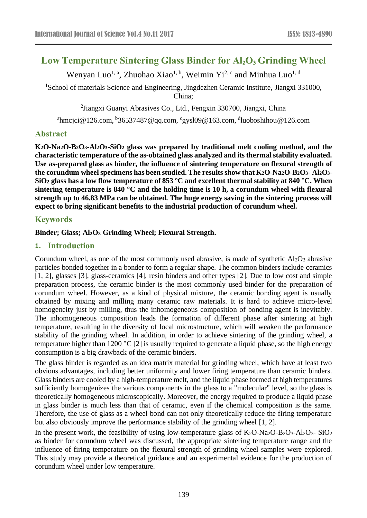# **Low Temperature Sintering Glass Binder for Al2O<sup>3</sup> Grinding Wheel**

Wenyan Luo<sup>1, a</sup>, Zhuohao Xiao<sup>1, b</sup>, Weimin Yi<sup>2, c</sup> and Minhua Luo<sup>1, d</sup>

<sup>1</sup>School of materials Science and Engineering, Jingdezhen Ceramic Institute, Jiangxi 331000, China;

2 Jiangxi Guanyi Abrasives Co., Ltd., Fengxin 330700, Jiangxi, China

<sup>a</sup>hmcjci@126.com, <sup>b</sup>36537487@qq.com, <sup>c</sup>gysl09@163.com, <sup>d</sup>luoboshihou@126.com

## **Abstract**

**K2O-Na2O-B2O3-Al2O3-SiO<sup>2</sup> glass was prepared by traditional melt cooling method, and the characteristic temperature of the as-obtained glass analyzed and its thermal stability evaluated. Use as-prepared glass as binder, the influence of sintering temperature on flexural strength of the corundum wheel specimens has been studied. The results show that K2O-Na2O-B2O3- Al2O3- SiO<sup>2</sup> glass has a low flow temperature of 853 °C and excellent thermal stability at 840 °C. When sintering temperature is 840 °C and the holding time is 10 h, a corundum wheel with flexural strength up to 46.83 MPa can be obtained. The huge energy saving in the sintering process will expect to bring significant benefits to the industrial production of corundum wheel.**

## **Keywords**

## **Binder; Glass; Al2O<sup>3</sup> Grinding Wheel; Flexural Strength.**

## **1. Introduction**

Corundum wheel, as one of the most commonly used abrasive, is made of synthetic  $Al_2O_3$  abrasive particles bonded together in a bonder to form a regular shape. The common binders include ceramics [\[1,](#page-4-0) [2\]](#page-4-1), glasses [\[3\]](#page-4-2), glass-ceramics [\[4\]](#page-4-3), resin binders and other types [\[2\]](#page-4-1). Due to low cost and simple preparation process, the ceramic binder is the most commonly used binder for the preparation of corundum wheel. However, as a kind of physical mixture, the ceramic bonding agent is usually obtained by mixing and milling many ceramic raw materials. It is hard to achieve micro-level homogeneity just by milling, thus the inhomogeneous composition of bonding agent is inevitably. The inhomogeneous composition leads the formation of different phase after sintering at high temperature, resulting in the diversity of local microstructure, which will weaken the performance stability of the grinding wheel. In addition, in order to achieve sintering of the grinding wheel, a temperature higher than 1200 °C [\[2\]](#page-4-1) is usually required to generate a liquid phase, so the high energy consumption is a big drawback of the ceramic binders.

The glass binder is regarded as an idea matrix material for grinding wheel, which have at least two obvious advantages, including better uniformity and lower firing temperature than ceramic binders. Glass binders are cooled by a high-temperature melt, and the liquid phase formed at high temperatures sufficiently homogenizes the various components in the glass to a "molecular" level, so the glass is theoretically homogeneous microscopically. Moreover, the energy required to produce a liquid phase in glass binder is much less than that of ceramic, even if the chemical composition is the same. Therefore, the use of glass as a wheel bond can not only theoretically reduce the firing temperature but also obviously improve the performance stability of the grinding wheel [\[1,](#page-4-0) [2\]](#page-4-1).

In the present work, the feasibility of using low-temperature glass of  $K_2O-Na_2O-B_2O_3-Al_2O_3-SiO_2$ as binder for corundum wheel was discussed, the appropriate sintering temperature range and the influence of firing temperature on the flexural strength of grinding wheel samples were explored. This study may provide a theoretical guidance and an experimental evidence for the production of corundum wheel under low temperature.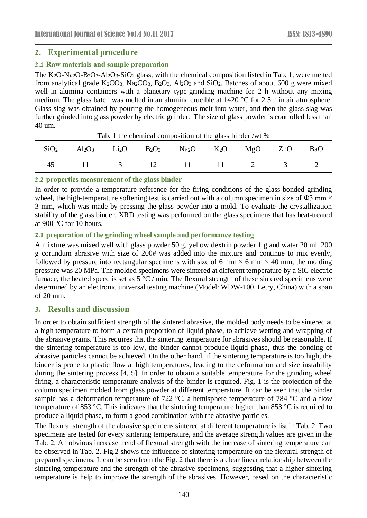## **2. Experimental procedure**

#### **2.1 Raw materials and sample preparation**

The  $K_2O-Na_2O-B_2O_3-Al_2O_3-SiO_2$  glass, with the chemical composition listed in Tab. 1, were melted from analytical grade  $K_2CO_3$ ,  $Na_2CO_3$ ,  $B_2O_3$ ,  $Al_2O_3$  and  $SiO_2$ . Batches of about 600 g were mixed well in alumina containers with a planetary type-grinding machine for 2 h without any mixing medium. The glass batch was melted in an alumina crucible at 1420 °C for 2.5 h in air atmosphere. Glass slag was obtained by pouring the homogeneous melt into water, and then the glass slag was further grinded into glass powder by electric grinder. The size of glass powder is controlled less than 40 um.

| Tao. I all chemical composition of the glass binder / wt /0 |                                                                                                                                           |                |    |              |      |  |  |            |  |  |  |  |
|-------------------------------------------------------------|-------------------------------------------------------------------------------------------------------------------------------------------|----------------|----|--------------|------|--|--|------------|--|--|--|--|
| SiO <sub>2</sub>                                            | $\text{Al}_2\text{O}_3$ $\text{Li}_2\text{O}$ $\text{B}_2\text{O}_3$ $\text{Na}_2\text{O}$ $\text{K}_2\text{O}$ $\text{MgO}$ $\text{ZnO}$ |                |    |              |      |  |  | <b>BaO</b> |  |  |  |  |
| 45                                                          |                                                                                                                                           | $\overline{3}$ | 12 | $\mathbf{H}$ | 11 2 |  |  |            |  |  |  |  |

Tab. 1 the chemical composition of the glass binder /wt %

#### **2.2 properties measurement of the glass binder**

In order to provide a temperature reference for the firing conditions of the glass-bonded grinding wheel, the high-temperature softening test is carried out with a column specimen in size of  $\Phi$ 3 mm  $\times$ 3 mm, which was made by pressing the glass powder into a mold. To evaluate the crystallization stability of the glass binder, XRD testing was performed on the glass specimens that has heat-treated at 900 °C for 10 hours.

#### **2.3 preparation of the grinding wheel sample and performance testing**

A mixture was mixed well with glass powder 50 g, yellow dextrin powder 1 g and water 20 ml. 200 g corundum abrasive with size of 200# was added into the mixture and continue to mix evenly, followed by pressure into rectangular specimens with size of 6 mm  $\times$  6 mm  $\times$  40 mm, the molding pressure was 20 MPa. The molded specimens were sintered at different temperature by a SiC electric furnace, the heated speed is set as 5 °C / min. The flexural strength of these sintered specimens were determined by an electronic universal testing machine (Model: WDW-100, Letry, China) with a span of 20 mm.

## **3. Results and discussion**

In order to obtain sufficient strength of the sintered abrasive, the molded body needs to be sintered at a high temperature to form a certain proportion of liquid phase, to achieve wetting and wrapping of the abrasive grains. This requires that the sintering temperature for abrasives should be reasonable. If the sintering temperature is too low, the binder cannot produce liquid phase, thus the bonding of abrasive particles cannot be achieved. On the other hand, if the sintering temperature is too high, the binder is prone to plastic flow at high temperatures, leading to the deformation and size instability during the sintering process [\[4,](#page-4-3) [5\]](#page-4-4). In order to obtain a suitable temperature for the grinding wheel firing, a characteristic temperature analysis of the binder is required. Fig. 1 is the projection of the column specimen molded from glass powder at different temperature. It can be seen that the binder sample has a deformation temperature of 722 °C, a hemisphere temperature of 784 °C and a flow temperature of 853 °C. This indicates that the sintering temperature higher than 853 °C is required to produce a liquid phase, to form a good combination with the abrasive particles.

The flexural strength of the abrasive specimens sintered at different temperature is list in Tab. 2. Two specimens are tested for every sintering temperature, and the average strength values are given in the Tab. 2. An obvious increase trend of flexural strength with the increase of sintering temperature can be observed in Tab. 2. Fig.2 shows the influence of sintering temperature on the flexural strength of prepared specimens. It can be seen from the Fig. 2 that there is a clear linear relationship between the sintering temperature and the strength of the abrasive specimens, suggesting that a higher sintering temperature is help to improve the strength of the abrasives. However, based on the characteristic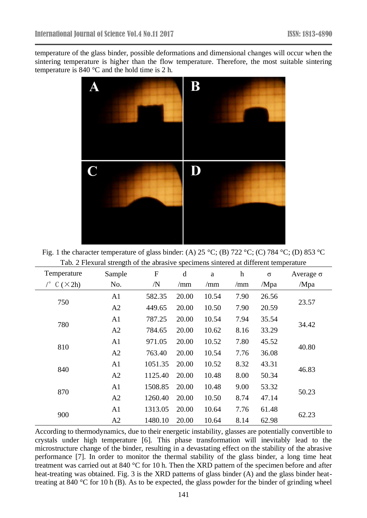temperature of the glass binder, possible deformations and dimensional changes will occur when the sintering temperature is higher than the flow temperature. Therefore, the most suitable sintering temperature is 840 °C and the hold time is 2 h.



Fig. 1 the character temperature of glass binder: (A) 25 °C; (B) 722 °C; (C) 784 °C; (D) 853 °C Tab. 2 Flexural strength of the abrasive specimens sintered at different temperature

| Temperature | Sample         | $\boldsymbol{\mathrm{F}}$ | d     | a     | $\boldsymbol{\mathrm{h}}$ | $\sigma$ | Average $\sigma$ |  |
|-------------|----------------|---------------------------|-------|-------|---------------------------|----------|------------------|--|
| C (X2h)     | No.            | /N                        | /mm   | /mm   | /mm                       | /Mpa     | /Mpa             |  |
|             | A1             | 582.35                    | 20.00 | 10.54 | 7.90                      | 26.56    |                  |  |
| 750         | A2             | 449.65                    | 20.00 | 10.50 | 7.90                      | 20.59    | 23.57            |  |
|             | A <sub>1</sub> | 787.25                    | 20.00 | 10.54 | 7.94                      | 35.54    |                  |  |
| 780         | A2             | 784.65                    | 20.00 | 10.62 | 8.16                      | 33.29    | 34.42            |  |
| 810         | A <sub>1</sub> | 971.05                    | 20.00 | 10.52 | 7.80                      | 45.52    | 40.80            |  |
|             | A2             | 763.40                    | 20.00 | 10.54 | 7.76                      | 36.08    |                  |  |
| 840         | A <sub>1</sub> | 1051.35                   | 20.00 | 10.52 | 8.32                      | 43.31    | 46.83            |  |
|             | A2             | 1125.40                   | 20.00 | 10.48 | 8.00                      | 50.34    |                  |  |
| 870         | A <sub>1</sub> | 1508.85                   | 20.00 | 10.48 | 9.00                      | 53.32    | 50.23            |  |
|             | A2             | 1260.40                   | 20.00 | 10.50 | 8.74                      | 47.14    |                  |  |
|             | A1             | 1313.05                   | 20.00 | 10.64 | 7.76                      | 61.48    |                  |  |
| 900         | A2             | 1480.10                   | 20.00 | 10.64 | 8.14                      | 62.98    | 62.23            |  |

According to thermodynamics, due to their energetic instability, glasses are potentially convertible to crystals under high temperature [\[6\]](#page-4-5). This phase transformation will inevitably lead to the microstructure change of the binder, resulting in a devastating effect on the stability of the abrasive performance [\[7\]](#page-4-6). In order to monitor the thermal stability of the glass binder, a long time heat treatment was carried out at 840 °C for 10 h. Then the XRD pattern of the specimen before and after heat-treating was obtained. Fig. 3 is the XRD patterns of glass binder (A) and the glass binder heattreating at 840 °C for 10 h (B). As to be expected, the glass powder for the binder of grinding wheel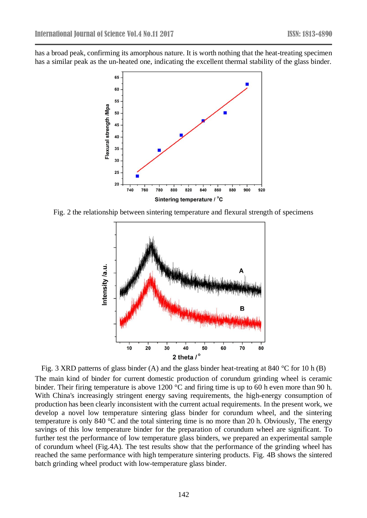has a broad peak, confirming its amorphous nature. It is worth nothing that the heat-treating specimen has a similar peak as the un-heated one, indicating the excellent thermal stability of the glass binder.



Fig. 2 the relationship between sintering temperature and flexural strength of specimens



Fig. 3 XRD patterns of glass binder (A) and the glass binder heat-treating at 840 °C for 10 h (B) The main kind of binder for current domestic production of corundum grinding wheel is ceramic binder. Their firing temperature is above 1200 °C and firing time is up to 60 h even more than 90 h. With China's increasingly stringent energy saving requirements, the high-energy consumption of production has been clearly inconsistent with the current actual requirements. In the present work, we develop a novel low temperature sintering glass binder for corundum wheel, and the sintering temperature is only 840 °C and the total sintering time is no more than 20 h. Obviously, The energy savings of this low temperature binder for the preparation of corundum wheel are significant. To further test the performance of low temperature glass binders, we prepared an experimental sample of corundum wheel (Fig.4A). The test results show that the performance of the grinding wheel has reached the same performance with high temperature sintering products. Fig. 4B shows the sintered batch grinding wheel product with low-temperature glass binder.